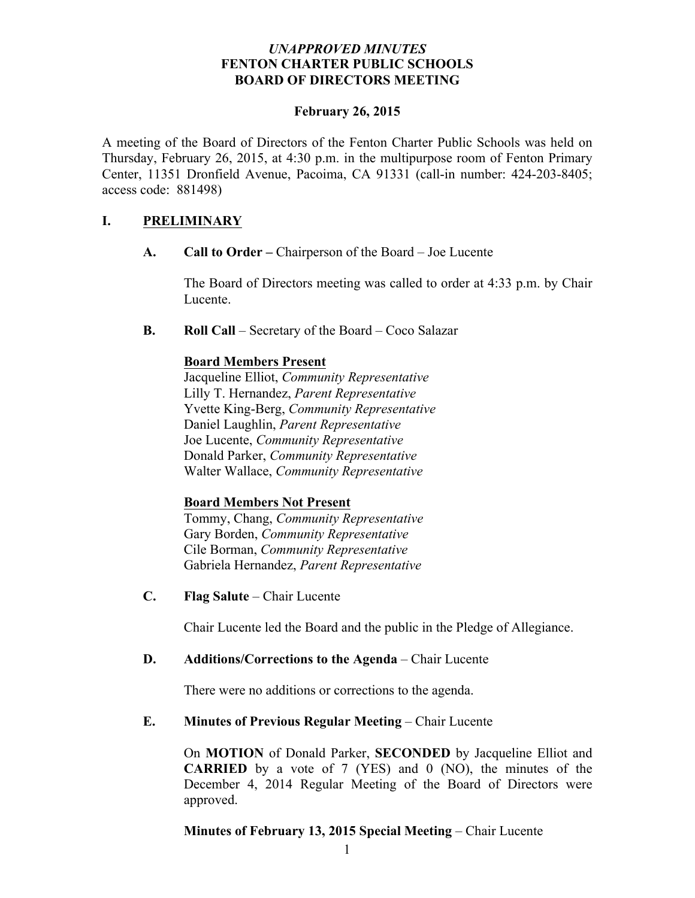## *UNAPPROVED MINUTES* **FENTON CHARTER PUBLIC SCHOOLS BOARD OF DIRECTORS MEETING**

#### **February 26, 2015**

A meeting of the Board of Directors of the Fenton Charter Public Schools was held on Thursday, February 26, 2015, at 4:30 p.m. in the multipurpose room of Fenton Primary Center, 11351 Dronfield Avenue, Pacoima, CA 91331 (call-in number: 424-203-8405; access code: 881498)

## **I. PRELIMINARY**

**A. Call to Order –** Chairperson of the Board – Joe Lucente

The Board of Directors meeting was called to order at 4:33 p.m. by Chair Lucente.

**B. Roll Call** – Secretary of the Board – Coco Salazar

## **Board Members Present**

Jacqueline Elliot, *Community Representative* Lilly T. Hernandez, *Parent Representative* Yvette King-Berg, *Community Representative* Daniel Laughlin, *Parent Representative* Joe Lucente, *Community Representative* Donald Parker, *Community Representative* Walter Wallace, *Community Representative*

# **Board Members Not Present**

Tommy, Chang, *Community Representative* Gary Borden, *Community Representative* Cile Borman, *Community Representative* Gabriela Hernandez, *Parent Representative*

**C. Flag Salute** – Chair Lucente

Chair Lucente led the Board and the public in the Pledge of Allegiance.

#### **D. Additions/Corrections to the Agenda** – Chair Lucente

There were no additions or corrections to the agenda.

#### **E. Minutes of Previous Regular Meeting – Chair Lucente**

On **MOTION** of Donald Parker, **SECONDED** by Jacqueline Elliot and **CARRIED** by a vote of 7 (YES) and 0 (NO), the minutes of the December 4, 2014 Regular Meeting of the Board of Directors were approved.

# **Minutes of February 13, 2015 Special Meeting** – Chair Lucente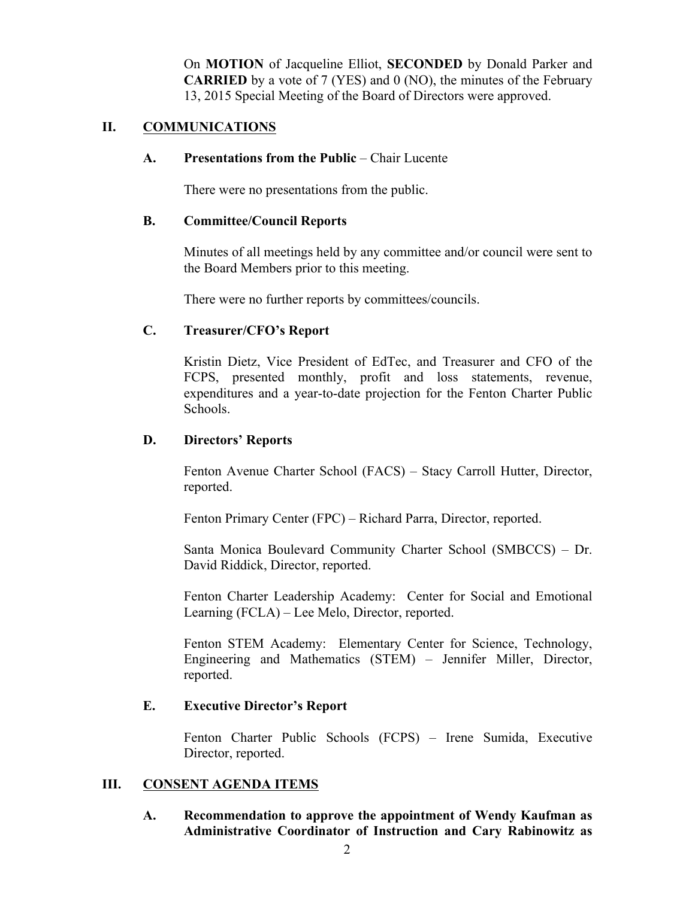On **MOTION** of Jacqueline Elliot, **SECONDED** by Donald Parker and **CARRIED** by a vote of 7 (YES) and 0 (NO), the minutes of the February 13, 2015 Special Meeting of the Board of Directors were approved.

## **II. COMMUNICATIONS**

#### **A. Presentations from the Public** – Chair Lucente

There were no presentations from the public.

#### **B. Committee/Council Reports**

Minutes of all meetings held by any committee and/or council were sent to the Board Members prior to this meeting.

There were no further reports by committees/councils.

#### **C. Treasurer/CFO's Report**

Kristin Dietz, Vice President of EdTec, and Treasurer and CFO of the FCPS, presented monthly, profit and loss statements, revenue, expenditures and a year-to-date projection for the Fenton Charter Public Schools.

#### **D. Directors' Reports**

Fenton Avenue Charter School (FACS) – Stacy Carroll Hutter, Director, reported.

Fenton Primary Center (FPC) – Richard Parra, Director, reported.

Santa Monica Boulevard Community Charter School (SMBCCS) – Dr. David Riddick, Director, reported.

Fenton Charter Leadership Academy: Center for Social and Emotional Learning (FCLA) – Lee Melo, Director, reported.

Fenton STEM Academy: Elementary Center for Science, Technology, Engineering and Mathematics (STEM) – Jennifer Miller, Director, reported.

#### **E. Executive Director's Report**

Fenton Charter Public Schools (FCPS) – Irene Sumida, Executive Director, reported.

#### **III. CONSENT AGENDA ITEMS**

**A. Recommendation to approve the appointment of Wendy Kaufman as Administrative Coordinator of Instruction and Cary Rabinowitz as**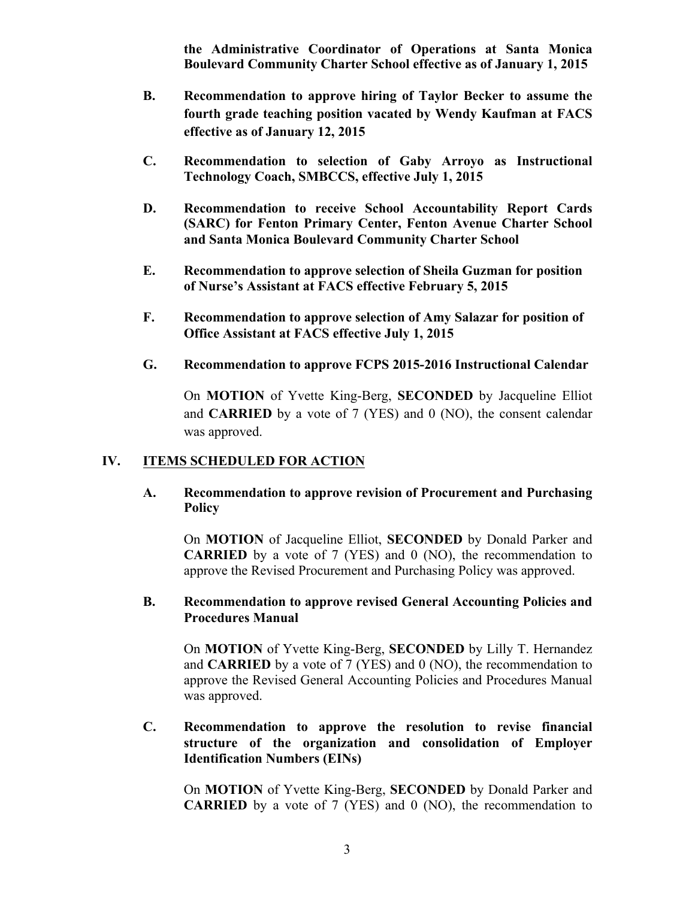**the Administrative Coordinator of Operations at Santa Monica Boulevard Community Charter School effective as of January 1, 2015**

- **B. Recommendation to approve hiring of Taylor Becker to assume the fourth grade teaching position vacated by Wendy Kaufman at FACS effective as of January 12, 2015**
- **C. Recommendation to selection of Gaby Arroyo as Instructional Technology Coach, SMBCCS, effective July 1, 2015**
- **D. Recommendation to receive School Accountability Report Cards (SARC) for Fenton Primary Center, Fenton Avenue Charter School and Santa Monica Boulevard Community Charter School**
- **E. Recommendation to approve selection of Sheila Guzman for position of Nurse's Assistant at FACS effective February 5, 2015**
- **F. Recommendation to approve selection of Amy Salazar for position of Office Assistant at FACS effective July 1, 2015**
- **G. Recommendation to approve FCPS 2015-2016 Instructional Calendar**

On **MOTION** of Yvette King-Berg, **SECONDED** by Jacqueline Elliot and **CARRIED** by a vote of 7 (YES) and 0 (NO), the consent calendar was approved.

#### **IV. ITEMS SCHEDULED FOR ACTION**

## **A. Recommendation to approve revision of Procurement and Purchasing Policy**

On **MOTION** of Jacqueline Elliot, **SECONDED** by Donald Parker and **CARRIED** by a vote of 7 (YES) and 0 (NO), the recommendation to approve the Revised Procurement and Purchasing Policy was approved.

#### **B. Recommendation to approve revised General Accounting Policies and Procedures Manual**

On **MOTION** of Yvette King-Berg, **SECONDED** by Lilly T. Hernandez and **CARRIED** by a vote of 7 (YES) and 0 (NO), the recommendation to approve the Revised General Accounting Policies and Procedures Manual was approved.

## **C. Recommendation to approve the resolution to revise financial structure of the organization and consolidation of Employer Identification Numbers (EINs)**

On **MOTION** of Yvette King-Berg, **SECONDED** by Donald Parker and **CARRIED** by a vote of 7 (YES) and 0 (NO), the recommendation to